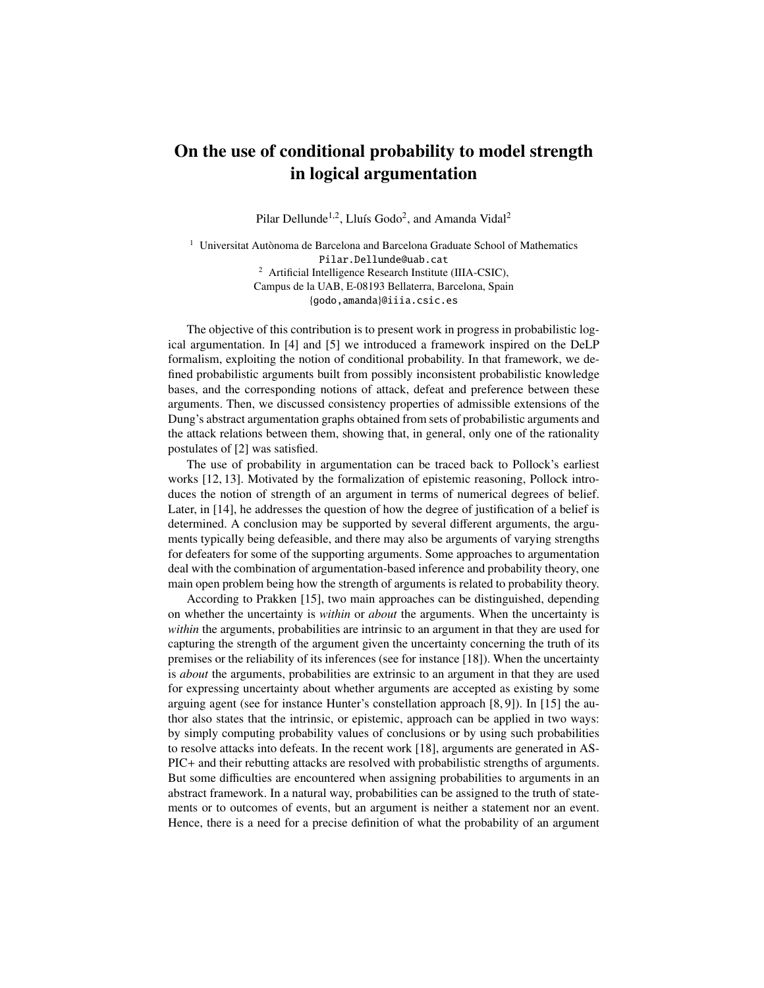## On the use of conditional probability to model strength in logical argumentation

Pilar Dellunde<sup>1,2</sup>, Lluís Godo<sup>2</sup>, and Amanda Vidal<sup>2</sup>

 $1$  Universitat Autònoma de Barcelona and Barcelona Graduate School of Mathematics Pilar.Dellunde@uab.cat <sup>2</sup> Artificial Intelligence Research Institute (IIIA-CSIC), Campus de la UAB, E-08193 Bellaterra, Barcelona, Spain {godo,amanda}@iiia.csic.es

The objective of this contribution is to present work in progress in probabilistic logical argumentation. In [4] and [5] we introduced a framework inspired on the DeLP formalism, exploiting the notion of conditional probability. In that framework, we defined probabilistic arguments built from possibly inconsistent probabilistic knowledge bases, and the corresponding notions of attack, defeat and preference between these arguments. Then, we discussed consistency properties of admissible extensions of the Dung's abstract argumentation graphs obtained from sets of probabilistic arguments and the attack relations between them, showing that, in general, only one of the rationality postulates of [2] was satisfied.

The use of probability in argumentation can be traced back to Pollock's earliest works [12, 13]. Motivated by the formalization of epistemic reasoning, Pollock introduces the notion of strength of an argument in terms of numerical degrees of belief. Later, in [14], he addresses the question of how the degree of justification of a belief is determined. A conclusion may be supported by several different arguments, the arguments typically being defeasible, and there may also be arguments of varying strengths for defeaters for some of the supporting arguments. Some approaches to argumentation deal with the combination of argumentation-based inference and probability theory, one main open problem being how the strength of arguments is related to probability theory.

According to Prakken [15], two main approaches can be distinguished, depending on whether the uncertainty is *within* or *about* the arguments. When the uncertainty is *within* the arguments, probabilities are intrinsic to an argument in that they are used for capturing the strength of the argument given the uncertainty concerning the truth of its premises or the reliability of its inferences (see for instance [18]). When the uncertainty is *about* the arguments, probabilities are extrinsic to an argument in that they are used for expressing uncertainty about whether arguments are accepted as existing by some arguing agent (see for instance Hunter's constellation approach [8, 9]). In [15] the author also states that the intrinsic, or epistemic, approach can be applied in two ways: by simply computing probability values of conclusions or by using such probabilities to resolve attacks into defeats. In the recent work [18], arguments are generated in AS-PIC+ and their rebutting attacks are resolved with probabilistic strengths of arguments. But some difficulties are encountered when assigning probabilities to arguments in an abstract framework. In a natural way, probabilities can be assigned to the truth of statements or to outcomes of events, but an argument is neither a statement nor an event. Hence, there is a need for a precise definition of what the probability of an argument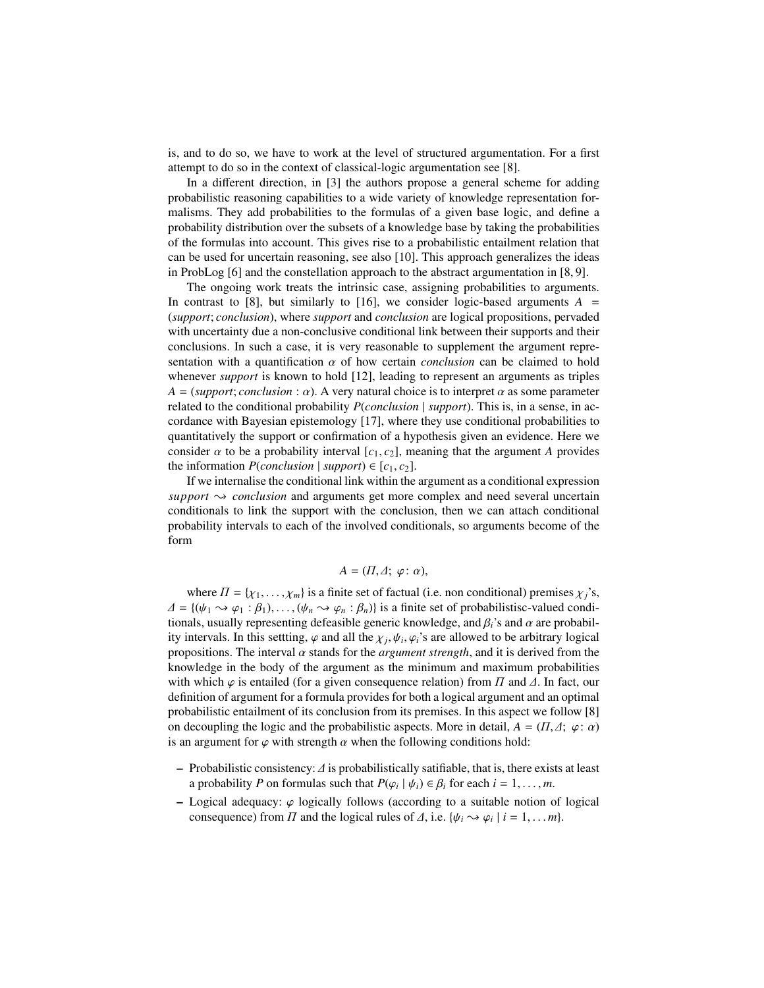is, and to do so, we have to work at the level of structured argumentation. For a first attempt to do so in the context of classical-logic argumentation see [8].

In a different direction, in [3] the authors propose a general scheme for adding probabilistic reasoning capabilities to a wide variety of knowledge representation formalisms. They add probabilities to the formulas of a given base logic, and define a probability distribution over the subsets of a knowledge base by taking the probabilities of the formulas into account. This gives rise to a probabilistic entailment relation that can be used for uncertain reasoning, see also [10]. This approach generalizes the ideas in ProbLog [6] and the constellation approach to the abstract argumentation in [8, 9].

The ongoing work treats the intrinsic case, assigning probabilities to arguments. In contrast to [8], but similarly to [16], we consider logic-based arguments  $A =$ (*support*; *conclusion*), where *support* and *conclusion* are logical propositions, pervaded with uncertainty due a non-conclusive conditional link between their supports and their conclusions. In such a case, it is very reasonable to supplement the argument representation with a quantification  $\alpha$  of how certain *conclusion* can be claimed to hold whenever *support* is known to hold [12], leading to represent an arguments as triples  $A = (support; conclusion: \alpha)$ . A very natural choice is to interpret  $\alpha$  as some parameter related to the conditional probability *P*(*conclusion* | *support*). This is, in a sense, in accordance with Bayesian epistemology [17], where they use conditional probabilities to quantitatively the support or confirmation of a hypothesis given an evidence. Here we consider  $\alpha$  to be a probability interval  $[c_1, c_2]$ , meaning that the argument *A* provides the information  $P(conclusion \mid support) \in [c_1, c_2]$ .

If we internalise the conditional link within the argument as a conditional expression *support*  $\rightarrow$  *conclusion* and arguments get more complex and need several uncertain conditionals to link the support with the conclusion, then we can attach conditional probability intervals to each of the involved conditionals, so arguments become of the form

## $A = (\Pi, \Delta; \varphi; \alpha),$

where  $\Pi = {\chi_1, \ldots, \chi_m}$  is a finite set of factual (i.e. non conditional) premises  $\chi_j$ 's,  $\Delta = \{(\psi_1 \leadsto \varphi_1 : \beta_1), \ldots, (\psi_n \leadsto \varphi_n : \beta_n)\}\$ is a finite set of probabilistisc-valued conditionals, usually representing defeasible generic knowledge, and  $\beta_i$ 's and  $\alpha$  are probability intervals. In this settting,  $\varphi$  and all the  $\chi_j$ ,  $\psi_i$ ,  $\varphi_i$ 's are allowed to be arbitrary logical<br>propositions. The interval  $\alpha$  stands for the *argument strength*, and it is derived from the , ψ*i* propositions. The interval  $\alpha$  stands for the *argument strength*, and it is derived from the **homogledge** in the hody of the argument as the minimum and maximum probabilities knowledge in the body of the argument as the minimum and maximum probabilities with which  $\varphi$  is entailed (for a given consequence relation) from  $\Pi$  and  $\varDelta$ . In fact, our definition of argument for a formula provides for both a logical argument and an optimal probabilistic entailment of its conclusion from its premises. In this aspect we follow [8] on decoupling the logic and the probabilistic aspects. More in detail,  $A = (\Pi, \Delta; \varphi; \alpha)$ is an argument for  $\varphi$  with strength  $\alpha$  when the following conditions hold:

- Probabilistic consistency: ∆ is probabilistically satifiable, that is, there exists at least a probability *P* on formulas such that  $P(\varphi_i | \psi_i) \in \beta_i$  for each  $i = 1, ..., m$ .
- Logical adequacy:  $\varphi$  logically follows (according to a suitable notion of logical consequence) from  $\Pi$  and the logical rules of  $\Delta$ , i.e. { $\psi_i \rightsquigarrow \varphi_i | i = 1, \dots m$ }.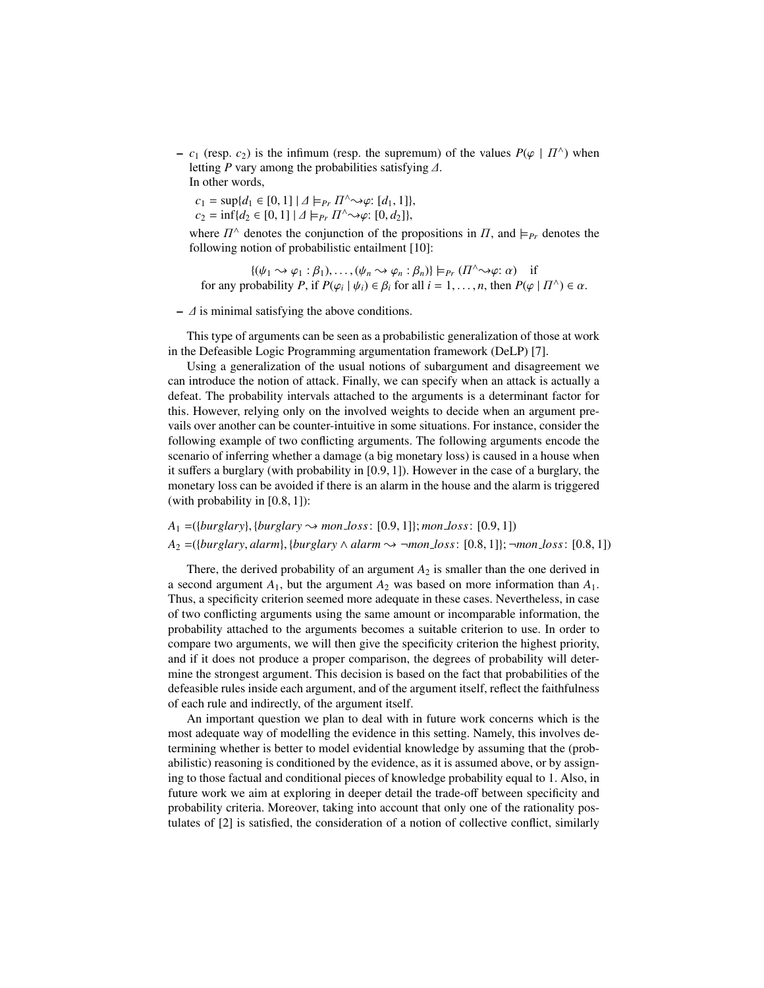–  $c_1$  (resp.  $c_2$ ) is the infimum (resp. the supremum) of the values  $P(\varphi | \Pi^{\wedge})$  when letting *P* vary among the probabilities satisfying *A* letting *<sup>P</sup>* vary among the probabilities satisfying ∆. In other words,

 $c_1 = \sup\{d_1 \in [0, 1] \mid \Delta \models_{Pr} \Pi^{\wedge} \leadsto \varphi: [d_1, 1]\},\$ <br> $c_2 = \inf\{d_2 \in [0, 1] \mid \Delta \models_{Pr} \Pi^{\wedge} \leadsto \varphi: [0, d_2]\}$  $c_2 = \inf\{d_2 \in [0, 1] \mid \Delta \models_{Pr} \Pi^{\wedge} \leadsto \varphi: [0, d_2]\},\$ 

where  $\Pi^{\wedge}$  denotes the conjunction of the propositions in  $\Pi$ , and  $\models_{Pr}$  denotes the following notion of probabilistic entailment [10]. following notion of probabilistic entailment [10]:

 $\{(\psi_1 \rightsquigarrow \varphi_1 : \beta_1), \dots, (\psi_n \rightsquigarrow \varphi_n : \beta_n)\}\models_{Pr} (\Pi^{\wedge} \rightsquigarrow \varphi : \alpha)$  if<br>obability *P* if  $P(\alpha_1 | \psi_1) \in R$ , for all  $i = 1$  n then  $P(\alpha_2)$ for any probability *P*, if  $P(\varphi_i | \psi_i) \in \beta_i$  for all  $i = 1, ..., n$ , then  $P(\varphi | \Pi^{\wedge}) \in \alpha$ .

 $\sim \Delta$  is minimal satisfying the above conditions.

This type of arguments can be seen as a probabilistic generalization of those at work in the Defeasible Logic Programming argumentation framework (DeLP) [7].

Using a generalization of the usual notions of subargument and disagreement we can introduce the notion of attack. Finally, we can specify when an attack is actually a defeat. The probability intervals attached to the arguments is a determinant factor for this. However, relying only on the involved weights to decide when an argument prevails over another can be counter-intuitive in some situations. For instance, consider the following example of two conflicting arguments. The following arguments encode the scenario of inferring whether a damage (a big monetary loss) is caused in a house when it suffers a burglary (with probability in [0.9, 1]). However in the case of a burglary, the monetary loss can be avoided if there is an alarm in the house and the alarm is triggered (with probability in [0.8, 1]):

 $A_1 = (\{burglary\}, \{burglary \rightarrow mon\_loss: [0.9, 1]\}; mon\_loss: [0.9, 1])$  $A_2$  =({*burglary*, *alarm*}, {*burglary* ∧ *alarm*  $\rightarrow$  ¬*mon\_loss*: [0.8, 1]}; ¬*mon\_loss*: [0.8, 1])

There, the derived probability of an argument  $A_2$  is smaller than the one derived in a second argument  $A_1$ , but the argument  $A_2$  was based on more information than  $A_1$ . Thus, a specificity criterion seemed more adequate in these cases. Nevertheless, in case of two conflicting arguments using the same amount or incomparable information, the probability attached to the arguments becomes a suitable criterion to use. In order to compare two arguments, we will then give the specificity criterion the highest priority, and if it does not produce a proper comparison, the degrees of probability will determine the strongest argument. This decision is based on the fact that probabilities of the defeasible rules inside each argument, and of the argument itself, reflect the faithfulness of each rule and indirectly, of the argument itself.

An important question we plan to deal with in future work concerns which is the most adequate way of modelling the evidence in this setting. Namely, this involves determining whether is better to model evidential knowledge by assuming that the (probabilistic) reasoning is conditioned by the evidence, as it is assumed above, or by assigning to those factual and conditional pieces of knowledge probability equal to 1. Also, in future work we aim at exploring in deeper detail the trade-off between specificity and probability criteria. Moreover, taking into account that only one of the rationality postulates of [2] is satisfied, the consideration of a notion of collective conflict, similarly